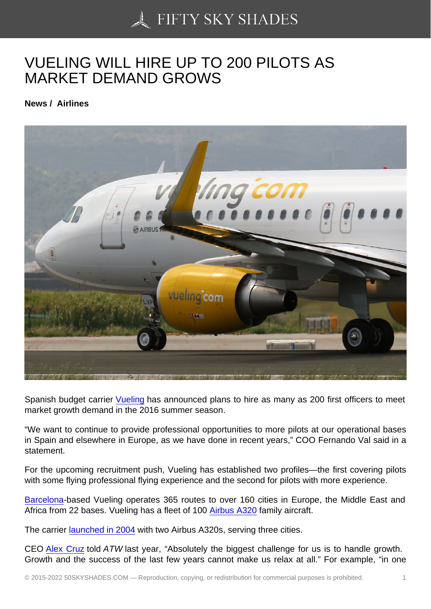## [VUELING WILL HIRE U](https://50skyshades.com)P TO 200 PILOTS AS MARKET DEMAND GROWS

News / Airlines

Spanish budget carrier Vueling has announced plans to hire as many as 200 first officers to meet market growth demand in the 2016 summer season.

"We want to continue to provide professional opportunities to more pilots at our operational bases in Spain and elsewhere [in Euro](http://atwonline.com/components/vueling-takes-delivery-first-a320-new-cabin-configuration)pe, as we have done in recent years," COO Fernando Val said in a statement.

For the upcoming recruitment push, Vueling has established two profiles—the first covering pilots with some flying professional flying experience and the second for pilots with more experience.

Barcelona-based Vueling operates 365 routes to over 160 cities in Europe, the Middle East and Africa from 22 bases. Vueling has a fleet of 100 Airbus A320 family aircraft.

[The carrie](http://atwonline.com/airports-amp-routes/vueling-ceo-barcelona-become-europe-s-prime-short-haul-hub)r launched in 2004 with two Airbus A320s, serving three cities.

CEO Alex Cruz told ATW last year, "Absolutely [the biggest](http://atwonline.com/airframes/vueling-s-fleet-top-100-aircraft-2015) challenge for us is to handle growth. Growth an[d the success of t](http://atwonline.com/airframes/vueling-s-fleet-top-100-aircraft-2015)he last few years cannot make us relax at all." For example, "in one